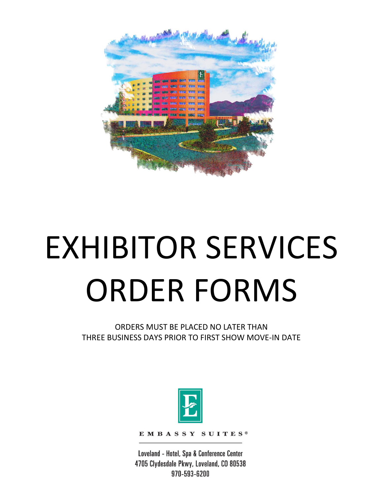

# EXHIBITOR SERVICES ORDER FORMS

ORDERS MUST BE PLACED NO LATER THAN THREE BUSINESS DAYS PRIOR TO FIRST SHOW MOVE-IN DATE



EMBASSY SUITES®

Loveland - Hotel, Spa & Conference Center 4705 Clydesdale Pkwy, Loveland, CO 80538 970-593-6200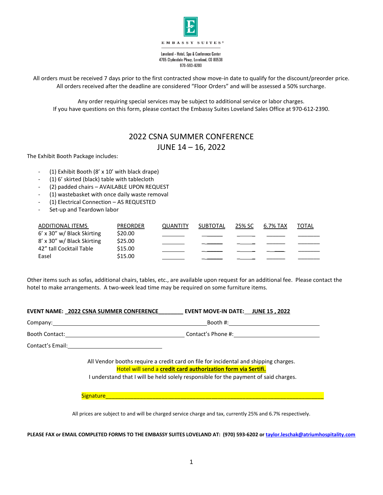

Loveland - Hotel, Spa & Conference Center 4705 Clydesdale Pkwy, Loveland, CO 80538 970-593-6200

All orders must be received 7 days prior to the first contracted show move-in date to qualify for the discount/preorder price. All orders received after the deadline are considered "Floor Orders" and will be assessed a 50% surcharge.

Any order requiring special services may be subject to additional service or labor charges. If you have questions on this form, please contact the Embassy Suites Loveland Sales Office at 970-612-2390.

# 2022 CSNA SUMMER CONFERENCE

JUNE 14 – 16, 2022

The Exhibit Booth Package includes:

- (1) Exhibit Booth (8' x 10' with black drape)
- (1) 6' skirted (black) table with tablecloth
- (2) padded chairs AVAILABLE UPON REQUEST
- (1) wastebasket with once daily waste removal
- (1) Electrical Connection AS REQUESTED
- Set-up and Teardown labor

| ADDITIONAL ITEMS             | <b>PREORDER</b> | <b>OUANTITY</b> | SUBTOTAL | 25% SC | 6.7% TAX | TOTAL |
|------------------------------|-----------------|-----------------|----------|--------|----------|-------|
| $6'$ x 30" w/ Black Skirting | \$20.00         |                 |          |        |          |       |
| 8' x 30" w/ Black Skirting   | \$25.00         |                 |          |        |          |       |
| 42" tall Cocktail Table      | \$15.00         |                 |          |        |          |       |
| Easel                        | \$15.00         |                 |          |        |          |       |

Other items such as sofas, additional chairs, tables, etc., are available upon request for an additional fee. Please contact the hotel to make arrangements. A two-week lead time may be required on some furniture items.

| EVENT NAME: 2022 CSNA SUMMER CONFERENCE EVENT MOVE-IN DATE: JUNE 15, 2022                                                                                                                                                                     |
|-----------------------------------------------------------------------------------------------------------------------------------------------------------------------------------------------------------------------------------------------|
|                                                                                                                                                                                                                                               |
|                                                                                                                                                                                                                                               |
|                                                                                                                                                                                                                                               |
| All Vendor booths require a credit card on file for incidental and shipping charges.<br>Hotel will send a credit card authorization form via Sertifi.<br>I understand that I will be held solely responsible for the payment of said charges. |
|                                                                                                                                                                                                                                               |
| All prices are subject to and will be charged service charge and tax, currently 25% and 6.7% respectively.                                                                                                                                    |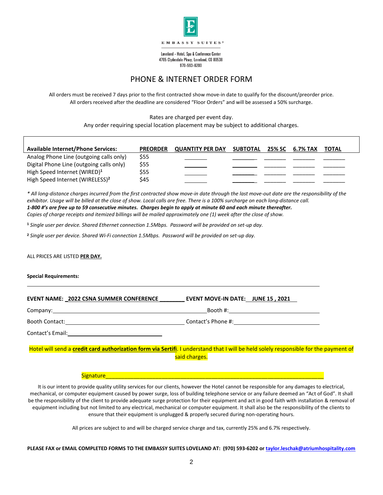

Loveland - Hotel, Spa & Conference Center 4705 Clydesdale Pkwy, Loveland, CO 80538 970-593-6200

# PHONE & INTERNET ORDER FORM

All orders must be received 7 days prior to the first contracted show move-in date to qualify for the discount/preorder price. All orders received after the deadline are considered "Floor Orders" and will be assessed a 50% surcharge.

Rates are charged per event day.

Any order requiring special location placement may be subject to additional charges.

| <b>Available Internet/Phone Services:</b>   | <b>PREORDER</b> | <b>QUANTITY PER DAY</b> | SUBTOTAL | 25% SC | 6.7% TAX | <b>TOTAL</b> |
|---------------------------------------------|-----------------|-------------------------|----------|--------|----------|--------------|
| Analog Phone Line (outgoing calls only)     | \$55            |                         |          |        |          |              |
| Digital Phone Line (outgoing calls only)    | \$55            |                         |          |        |          |              |
| High Speed Internet (WIRED) <sup>1</sup>    | \$55            |                         |          |        |          |              |
| High Speed Internet (WIRELESS) <sup>2</sup> | \$45            |                         |          |        |          |              |

*\* All long-distance charges incurred from the first contracted show move-in date through the last move-out date are the responsibility of the exhibitor. Usage will be billed at the close of show. Local calls are free. There is a 100% surcharge on each long-distance call. 1-800 #'s are free up to 59 consecutive minutes. Charges begin to apply at minute 60 and each minute thereafter. Copies of charge receipts and itemized billings will be mailed approximately one (1) week after the close of show.*

**<sup>1</sup>** *Single user per device. Shared Ethernet connection 1.5Mbps. Password will be provided on set-up day.*

**<sup>2</sup>** *Single user per device. Shared Wi-Fi connection 1.5Mbps. Password will be provided on set-up day.*

ALL PRICES ARE LISTED **PER DAY.**

**Special Requirements:** 

**EVENT NAME: \_2022 CSNA SUMMER CONFERENCE \_\_\_\_\_\_\_\_ EVENT MOVE-IN DATE: JUNE 15 , 2021**

Company: Booth #:

Booth Contact: Contact: Contact Contact's Phone #:

Contact's Email:

Hotel will send a **credit card authorization form via Sertifi**. I understand that I will be held solely responsible for the payment of said charges.

#### Signature

It is our intent to provide quality utility services for our clients, however the Hotel cannot be responsible for any damages to electrical, mechanical, or computer equipment caused by power surge, loss of building telephone service or any failure deemed an "Act of God". It shall be the responsibility of the client to provide adequate surge protection for their equipment and act in good faith with installation & removal of equipment including but not limited to any electrical, mechanical or computer equipment. It shall also be the responsibility of the clients to ensure that their equipment is unplugged & properly secured during non-operating hours.

All prices are subject to and will be charged service charge and tax, currently 25% and 6.7% respectively.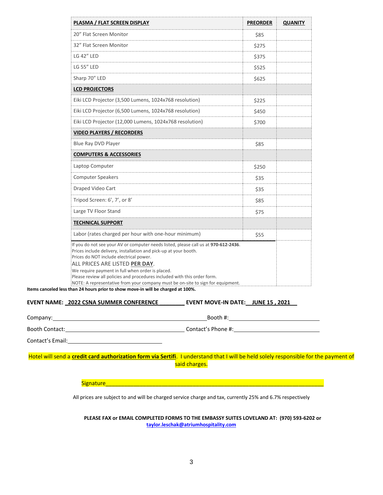| PLASMA / FLAT SCREEN DISPLAY                                                                                                                                                                                                                                                                                                                                                                                                                            | <b>PREORDER</b> | <b>QUANITY</b> |
|---------------------------------------------------------------------------------------------------------------------------------------------------------------------------------------------------------------------------------------------------------------------------------------------------------------------------------------------------------------------------------------------------------------------------------------------------------|-----------------|----------------|
| 20" Flat Screen Monitor                                                                                                                                                                                                                                                                                                                                                                                                                                 | \$85            |                |
| 32" Flat Screen Monitor                                                                                                                                                                                                                                                                                                                                                                                                                                 | \$275           |                |
| <b>LG 42" LED</b>                                                                                                                                                                                                                                                                                                                                                                                                                                       | \$375           |                |
| <b>LG 55" LED</b>                                                                                                                                                                                                                                                                                                                                                                                                                                       | \$525           |                |
| Sharp 70" LED                                                                                                                                                                                                                                                                                                                                                                                                                                           | \$625           |                |
| <b>LCD PROJECTORS</b>                                                                                                                                                                                                                                                                                                                                                                                                                                   |                 |                |
| Eiki LCD Projector (3,500 Lumens, 1024x768 resolution)                                                                                                                                                                                                                                                                                                                                                                                                  | \$225           |                |
| Eiki LCD Projector (6,500 Lumens, 1024x768 resolution)                                                                                                                                                                                                                                                                                                                                                                                                  | \$450           |                |
| Eiki LCD Projector (12,000 Lumens, 1024x768 resolution)                                                                                                                                                                                                                                                                                                                                                                                                 | \$700           |                |
| <b>VIDEO PLAYERS / RECORDERS</b>                                                                                                                                                                                                                                                                                                                                                                                                                        |                 |                |
| Blue Ray DVD Player                                                                                                                                                                                                                                                                                                                                                                                                                                     | \$85            |                |
| <b>COMPUTERS &amp; ACCESSORIES</b>                                                                                                                                                                                                                                                                                                                                                                                                                      |                 |                |
| Laptop Computer                                                                                                                                                                                                                                                                                                                                                                                                                                         | \$250           |                |
| <b>Computer Speakers</b>                                                                                                                                                                                                                                                                                                                                                                                                                                | \$35            |                |
| <b>Draped Video Cart</b>                                                                                                                                                                                                                                                                                                                                                                                                                                | \$35            |                |
| Tripod Screen: 6', 7', or 8'                                                                                                                                                                                                                                                                                                                                                                                                                            | \$85            |                |
| Large TV Floor Stand                                                                                                                                                                                                                                                                                                                                                                                                                                    | \$75            |                |
| <b>TECHNICAL SUPPORT</b>                                                                                                                                                                                                                                                                                                                                                                                                                                |                 |                |
| Labor (rates charged per hour with one-hour minimum)                                                                                                                                                                                                                                                                                                                                                                                                    | \$55            |                |
| If you do not see your AV or computer needs listed, please call us at 970-612-2436.<br>Prices include delivery, installation and pick-up at your booth.<br>Prices do NOT include electrical power.<br>ALL PRICES ARE LISTED PER DAY.<br>We require payment in full when order is placed.<br>Please review all policies and procedures included with this order form.<br>NOTE: A representative from your company must be on-site to sign for equipment. |                 |                |

**Items canceled less than 24 hours prior to show move-in will be charged at 100%.**

## **EVENT NAME: \_2022 CSNA SUMMER CONFERENCE \_\_\_\_\_\_\_\_ EVENT MOVE-IN DATE: JUNE 15 , 2021**

Booth Contact: Contact: Contact: Contact<sup>'</sup>s Phone #:

Contact's Email:

Hotel will send a **credit card authorization form via Sertifi**. I understand that I will be held solely responsible for the payment of said charges.

Signature\_\_\_\_\_\_\_\_\_\_\_\_\_\_\_\_\_\_\_\_\_\_\_\_\_\_\_\_\_\_\_\_\_\_\_\_\_\_\_\_\_\_\_\_\_\_\_\_\_\_\_\_\_\_\_\_\_\_\_\_\_\_\_\_\_\_\_\_\_\_

All prices are subject to and will be charged service charge and tax, currently 25% and 6.7% respectively

**PLEASE FAX or EMAIL COMPLETED FORMS TO THE EMBASSY SUITES LOVELAND AT: (970) 593-6202 or [taylor.leschak@atriumhospitality.com](mailto:taylor.leschak@atriumhospitality.com)**

Company: Booth #: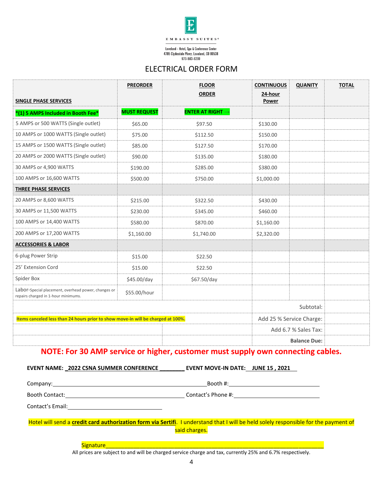

Loveland - Hotel, Spa & Conference Center 4705 Clydesdale Pkwy, Loveland, CO 80538<br>970-593-6200

# ELECTRICAL ORDER FORM

|                                                                                            | <b>PREORDER</b>     | <b>FLOOR</b>            | <b>CONTINUOUS</b> | <b>QUANITY</b>           | <b>TOTAL</b> |
|--------------------------------------------------------------------------------------------|---------------------|-------------------------|-------------------|--------------------------|--------------|
| <b>SINGLE PHASE SERVICES</b>                                                               |                     | <b>ORDER</b>            | 24-hour<br>Power  |                          |              |
| *(1) 5 AMPS Included in Booth Fee*                                                         | <b>MUST REQUEST</b> | <b>ENTER AT RIGHT →</b> |                   |                          |              |
| 5 AMPS or 500 WATTS (Single outlet)                                                        | \$65.00             | \$97.50                 | \$130.00          |                          |              |
| 10 AMPS or 1000 WATTS (Single outlet)                                                      | \$75.00             | \$112.50                | \$150.00          |                          |              |
| 15 AMPS or 1500 WATTS (Single outlet)                                                      | \$85.00             | \$127.50                | \$170.00          |                          |              |
| 20 AMPS or 2000 WATTS (Single outlet)                                                      | \$90.00             | \$135.00                | \$180.00          |                          |              |
| 30 AMPS or 4,900 WATTS                                                                     | \$190.00            | \$285.00                | \$380.00          |                          |              |
| 100 AMPS or 16,600 WATTS                                                                   | \$500.00            | \$750.00                | \$1,000.00        |                          |              |
| THREE PHASE SERVICES                                                                       |                     |                         |                   |                          |              |
| 20 AMPS or 8,600 WATTS                                                                     | \$215.00            | \$322.50                | \$430.00          |                          |              |
| 30 AMPS or 11,500 WATTS                                                                    | \$230.00            | \$345.00                | \$460.00          |                          |              |
| 100 AMPS or 14,400 WATTS                                                                   | \$580.00            | \$870.00                | \$1,160.00        |                          |              |
| 200 AMPS or 17,200 WATTS                                                                   | \$1,160.00          | \$1,740.00              | \$2,320.00        |                          |              |
| <b>ACCESSORIES &amp; LABOR</b>                                                             |                     |                         |                   |                          |              |
| 6-plug Power Strip                                                                         | \$15.00             | \$22.50                 |                   |                          |              |
| 25' Extension Cord                                                                         | \$15.00             | \$22.50                 |                   |                          |              |
| Spider Box                                                                                 | \$45.00/day         | \$67.50/day             |                   |                          |              |
| Labor-Special placement, overhead power, changes or<br>repairs charged in 1-hour minimums. | \$55.00/hour        |                         |                   |                          |              |
|                                                                                            |                     |                         |                   | Subtotal:                |              |
| Items canceled less than 24 hours prior to show move-in will be charged at 100%.           |                     |                         |                   | Add 25 % Service Charge: |              |
|                                                                                            |                     |                         |                   | Add 6.7 % Sales Tax:     |              |
|                                                                                            |                     |                         |                   | <b>Balance Due:</b>      |              |

# **NOTE: For 30 AMP service or higher, customer must supply own connecting cables.**

# **EVENT NAME: \_2022 CSNA SUMMER CONFERENCE \_\_\_\_\_\_\_\_ EVENT MOVE-IN DATE: JUNE 15 , 2021**

Company: Booth #:

Booth Contact: Contact: Contact: Contact<sup>'</sup>s Phone #:

Contact's Email:

Hotel will send a **credit card authorization form via Sertifi**. I understand that I will be held solely responsible for the payment of said charges.

Signature

All prices are subject to and will be charged service charge and tax, currently 25% and 6.7% respectively.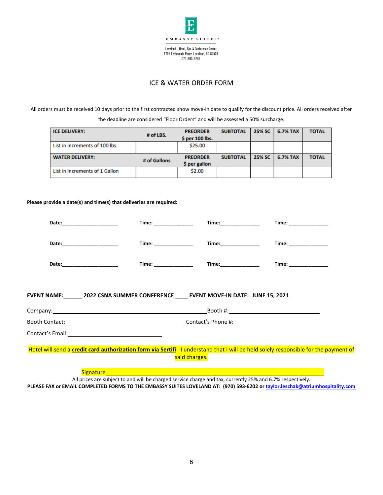

## ICE & WATER ORDER FORM

All orders must be received 10 days prior to the first contracted show move-in date to qualify for the discount price. All orders received after

the deadline are considered "Floor Orders" and will be assessed a 50% surcharge.

| <b>ICE DELIVERY:</b>           |              | <b>PREORDER</b> | <b>SUBTOTAL</b> | 25% SC | <b>6.7% TAX</b> | <b>TOTAL</b> |
|--------------------------------|--------------|-----------------|-----------------|--------|-----------------|--------------|
|                                | # of LBS.    | \$ per 100 lbs. |                 |        |                 |              |
| List in increments of 100 lbs. |              | \$25.00         |                 |        |                 |              |
|                                |              |                 |                 |        |                 |              |
| <b>WATER DELIVERY:</b>         |              | <b>PREORDER</b> | <b>SUBTOTAL</b> | 25% SC | <b>6.7% TAX</b> | <b>TOTAL</b> |
|                                | # of Gallons | \$ per gallon   |                 |        |                 |              |
| List in increments of 1 Gallon |              | \$2.00          |                 |        |                 |              |
|                                |              |                 |                 |        |                 |              |

#### **Please provide a date(s) and time(s) that deliveries are required:**

| Time: ______________                                                                      | Time:_______________                                                                                           |                                                                                                                                      |  |
|-------------------------------------------------------------------------------------------|----------------------------------------------------------------------------------------------------------------|--------------------------------------------------------------------------------------------------------------------------------------|--|
| Date:____________________                                                                 | Time:_______________                                                                                           | Time: ____________                                                                                                                   |  |
| Date: ______________                                                                      | Time:_______________                                                                                           | Time: _____________                                                                                                                  |  |
| EVENT NAME:________2022 CSNA SUMMER CONFERENCE______ EVENT MOVE-IN DATE:_JUNE 15, 2021___ |                                                                                                                |                                                                                                                                      |  |
|                                                                                           |                                                                                                                |                                                                                                                                      |  |
| Booth Contact: New York Contact of Contact's Phone #: New York Contact's Phone #:         |                                                                                                                |                                                                                                                                      |  |
|                                                                                           |                                                                                                                |                                                                                                                                      |  |
|                                                                                           | said charges.                                                                                                  | Hotel will send a credit card authorization form via Sertifi. I understand that I will be held solely responsible for the payment of |  |
| Signature <b>Communication of the Communication of the Communication</b>                  | in the company of the company of the company of the company of the company of the company of the company of th |                                                                                                                                      |  |

All prices are subject to and will be charged service charge and tax, currently 25% and 6.7% respectively. **PLEASE FAX or EMAIL COMPLETED FORMS TO THE EMBASSY SUITES LOVELAND AT: (970) 593-6202 or [taylor.leschak@atriumhospitality.com](mailto:taylor.leschak@atriumhospitality.com)**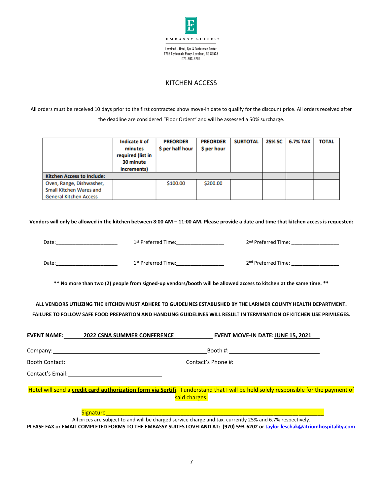

# KITCHEN ACCESS

All orders must be received 10 days prior to the first contracted show move-in date to qualify for the discount price. All orders received after the deadline are considered "Floor Orders" and will be assessed a 50% surcharge.

|                                   | Indicate # of<br>minutes<br>required (list in<br>30 minute<br>increments) | <b>PREORDER</b><br>\$ per half hour | <b>PREORDER</b><br>\$ per hour | <b>SUBTOTAL</b> | 25% SC | <b>6.7% TAX</b> | <b>TOTAL</b> |
|-----------------------------------|---------------------------------------------------------------------------|-------------------------------------|--------------------------------|-----------------|--------|-----------------|--------------|
| <b>Kitchen Access to Include:</b> |                                                                           |                                     |                                |                 |        |                 |              |
| Oven, Range, Dishwasher,          |                                                                           | \$100.00                            | \$200.00                       |                 |        |                 |              |
| Small Kitchen Wares and           |                                                                           |                                     |                                |                 |        |                 |              |
| <b>General Kitchen Access</b>     |                                                                           |                                     |                                |                 |        |                 |              |

**Vendors will only be allowed in the kitchen between 8:00 AM – 11:00 AM. Please provide a date and time that kitchen access is requested:**

| Date: | 1 <sup>st</sup> Preferred Time: | 2 <sup>nd</sup> Preferred Time: |
|-------|---------------------------------|---------------------------------|
| Date: | 1 <sup>st</sup> Preferred Time: | 2 <sup>nd</sup> Preferred Time: |

**\*\* No more than two (2) people from signed-up vendors/booth will be allowed access to kitchen at the same time. \*\*** 

**ALL VENDORS UTILIZING THE KITCHEN MUST ADHERE TO GUIDELINES ESTABLISHED BY THE LARIMER COUNTY HEALTH DEPARTMENT. FAILURE TO FOLLOW SAFE FOOD PREPARTION AND HANDLING GUIDELINES WILL RESULT IN TERMINATION OF KITCHEN USE PRIVILEGES.**

| <b>EVENT NAME:</b>    | <b>2022 CSNA SUMMER CONFERENCE</b> | <b>EVENT MOVE-IN DATE: JUNE 15, 2021</b>                                                                                             |
|-----------------------|------------------------------------|--------------------------------------------------------------------------------------------------------------------------------------|
| Company: $\_$         |                                    | Booth #:                                                                                                                             |
| <b>Booth Contact:</b> |                                    | Contact's Phone #:                                                                                                                   |
| Contact's Email:      |                                    |                                                                                                                                      |
|                       |                                    | Hotel will send a credit card authorization form via Sertifi. I understand that I will be held solely responsible for the payment of |
|                       |                                    | said charges.                                                                                                                        |
|                       | <b>Signature</b>                   |                                                                                                                                      |
|                       |                                    | All prices are subject to and will be charged service charge and tax, currently 25% and 6.7% respectively.                           |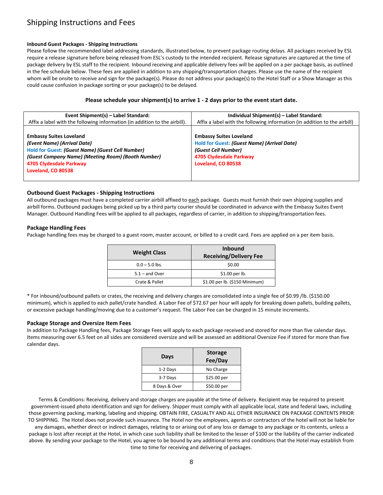# Shipping Instructions and Fees

### **Inbound Guest Packages - Shipping Instructions**

Please follow the recommended label addressing standards, illustrated below, to prevent package routing delays. All packages received by ESL require a release signature before being released from ESL's custody to the intended recipient. Release signatures are captured at the time of package delivery by ESL staff to the recipient. Inbound receiving and applicable delivery fees will be applied on a per package basis, as outlined in the fee schedule below. These fees are applied in addition to any shipping/transportation charges. Please use the name of the recipient whom will be onsite to receive and sign for the package(s). Please do not address your package(s) to the Hotel Staff or a Show Manager as this could cause confusion in package sorting or your package(s) to be delayed.

### **Please schedule your shipment(s) to arrive 1 - 2 days prior to the event start date.**

| Event Shipment(s) – Label Standard:                                                                                                                                                                                             | Individual Shipment(s) - Label Standard:                                                                                                                     |
|---------------------------------------------------------------------------------------------------------------------------------------------------------------------------------------------------------------------------------|--------------------------------------------------------------------------------------------------------------------------------------------------------------|
| Affix a label with the following information (in addition to the airbill).                                                                                                                                                      | Affix a label with the following information (in addition to the airbill)                                                                                    |
| <b>Embassy Suites Loveland</b><br>(Event Name) (Arrival Date)<br><b>Hold for Guest: (Guest Name) (Guest Cell Number)</b><br>(Guest Company Name) (Meeting Room) (Booth Number)<br>4705 Clydesdale Parkway<br>Loveland, CO 80538 | <b>Embassy Suites Loveland</b><br><b>Hold for Guest: (Guest Name) (Arrival Date)</b><br>(Guest Cell Number)<br>4705 Clydesdale Parkway<br>Loveland, CO 80538 |

## **Outbound Guest Packages - Shipping Instructions**

All outbound packages must have a completed carrier airbill affixed to each package. Guests must furnish their own shipping supplies and airbill forms. Outbound packages being picked up by a third party courier should be coordinated in advance with the Embassy Suites Event Manager. Outbound Handling Fees will be applied to all packages, regardless of carrier, in addition to shipping/transportation fees.

#### **Package Handling Fees**

Package handling fees may be charged to a guest room, master account, or billed to a credit card. Fees are applied on a per item basis.

| <b>Weight Class</b> | <b>Inbound</b><br><b>Receiving/Delivery Fee</b> |
|---------------------|-------------------------------------------------|
| $0.0 - 5.0$ lbs.    | \$0.00                                          |
| $5.1 -$ and Over    | $$1.00$ per lb.                                 |
| Crate & Pallet      | \$1.00 per lb. (\$150 Minimum)                  |

\* For inbound/outbound pallets or crates, the receiving and delivery charges are consolidated into a single fee of \$0.99 /lb. (\$150.00 minimum), which is applied to each pallet/crate handled. A Labor Fee of \$72.67 per hour will apply for breaking down pallets, building pallets, or excessive package handling/moving due to a customer's request. The Labor Fee can be charged in 15 minute increments.

### **Package Storage and Oversize Item Fees**

In addition to Package Handling fees, Package Storage Fees will apply to each package received and stored for more than five calendar days. Items measuring over 6.5 feet on all sides are considered oversize and will be assessed an additional Oversize Fee if stored for more than five calendar days.

| Days          | <b>Storage</b><br>Fee/Day |  |
|---------------|---------------------------|--|
| 1-2 Days      | No Charge                 |  |
| 3-7 Days      | \$25.00 per               |  |
| 8 Days & Over | \$50.00 per               |  |

Terms & Conditions: Receiving, delivery and storage charges are payable at the time of delivery. Recipient may be required to present government-issued photo identification and sign for delivery. Shipper must comply with all applicable local, state and federal laws, including those governing packing, marking, labeling and shipping. OBTAIN FIRE, CASUALTY AND ALL OTHER INSURANCE ON PACKAGE CONTENTS PRIOR TO SHIPPING. The Hotel does not provide such insurance. The Hotel nor the employees, agents or contractors of the hotel will not be liable for

any damages, whether direct or indirect damages, relating to or arising out of any loss or damage to any package or its contents, unless a package is lost after receipt at the Hotel, in which case such liability shall be limited to the lesser of \$100 or the liability of the carrier indicated above. By sending your package to the Hotel, you agree to be bound by any additional terms and conditions that the Hotel may establish from time to time for receiving and delivering of packages.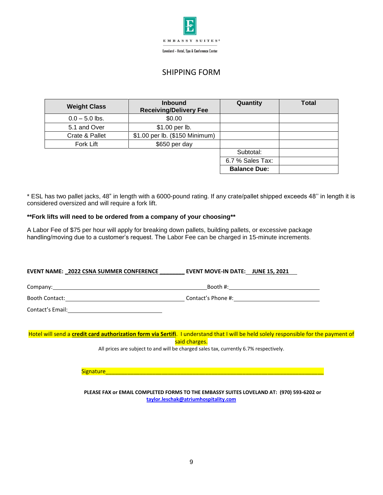

Loveland - Hotel, Spa & Conference Center

# SHIPPING FORM

| <b>Weight Class</b> | <b>Inbound</b><br><b>Receiving/Delivery Fee</b> | Quantity            | <b>Total</b> |
|---------------------|-------------------------------------------------|---------------------|--------------|
| $0.0 - 5.0$ lbs.    | \$0.00                                          |                     |              |
| 5.1 and Over        | \$1.00 per lb.                                  |                     |              |
| Crate & Pallet      | \$1.00 per lb. (\$150 Minimum)                  |                     |              |
| Fork Lift           | \$650 per day                                   |                     |              |
|                     |                                                 | Subtotal:           |              |
|                     |                                                 | 6.7 % Sales Tax:    |              |
|                     |                                                 | <b>Balance Due:</b> |              |

\* ESL has two pallet jacks, 48" in length with a 6000-pound rating. If any crate/pallet shipped exceeds 48'' in length it is considered oversized and will require a fork lift.

## **\*\*Fork lifts will need to be ordered from a company of your choosing\*\***

A Labor Fee of \$75 per hour will apply for breaking down pallets, building pallets, or excessive package handling/moving due to a customer's request. The Labor Fee can be charged in 15-minute increments.

## **EVENT NAME: \_2022 CSNA SUMMER CONFERENCE \_\_\_\_\_\_\_\_ EVENT MOVE-IN DATE: JUNE 15, 2021**

Company: Booth #: Booth Contact: Contact's Phone #:

Contact's Email:

Hotel will send a **credit card authorization form via Sertifi**. I understand that I will be held solely responsible for the payment of said charges.

All prices are subject to and will be charged sales tax, currently 6.7% respectively.

Signature\_\_\_\_\_\_\_\_\_\_\_\_\_\_\_\_\_\_\_\_\_\_\_\_\_\_\_\_\_\_\_\_\_\_\_\_\_\_\_\_\_\_\_\_\_\_\_\_\_\_\_\_\_\_\_\_\_\_\_\_\_\_\_\_\_\_\_\_\_\_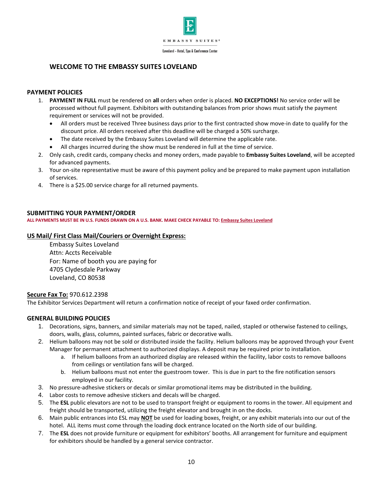

# **WELCOME TO THE EMBASSY SUITES LOVELAND**

## **PAYMENT POLICIES**

- 1. **PAYMENT IN FULL** must be rendered on **all** orders when order is placed. **NO EXCEPTIONS!** No service order will be processed without full payment. Exhibitors with outstanding balances from prior shows must satisfy the payment requirement or services will not be provided.
	- All orders must be received Three business days prior to the first contracted show move-in date to qualify for the discount price. All orders received after this deadline will be charged a 50% surcharge.
	- The date received by the Embassy Suites Loveland will determine the applicable rate.
	- All charges incurred during the show must be rendered in full at the time of service.
- 2. Only cash, credit cards, company checks and money orders, made payable to **Embassy Suites Loveland**, will be accepted for advanced payments.
- 3. Your on-site representative must be aware of this payment policy and be prepared to make payment upon installation of services.
- 4. There is a \$25.00 service charge for all returned payments.

## **SUBMITTING YOUR PAYMENT/ORDER**

**ALL PAYMENTS MUST BE IN U.S. FUNDS DRAWN ON A U.S. BANK. MAKE CHECK PAYABLE TO: Embassy Suites Loveland**

## **US Mail/ First Class Mail/Couriers or Overnight Express:**

Embassy Suites Loveland Attn: Accts Receivable For: Name of booth you are paying for 4705 Clydesdale Parkway Loveland, CO 80538

## **Secure Fax To:** 970.612.2398

The Exhibitor Services Department will return a confirmation notice of receipt of your faxed order confirmation.

## **GENERAL BUILDING POLICIES**

- 1. Decorations, signs, banners, and similar materials may not be taped, nailed, stapled or otherwise fastened to ceilings, doors, walls, glass, columns, painted surfaces, fabric or decorative walls.
- 2. Helium balloons may not be sold or distributed inside the facility. Helium balloons may be approved through your Event Manager for permanent attachment to authorized displays. A deposit may be required prior to installation.
	- a. If helium balloons from an authorized display are released within the facility, labor costs to remove balloons from ceilings or ventilation fans will be charged.
	- b. Helium balloons must not enter the guestroom tower. This is due in part to the fire notification sensors employed in our facility.
- 3. No pressure-adhesive stickers or decals or similar promotional items may be distributed in the building.
- 4. Labor costs to remove adhesive stickers and decals will be charged.
- 5. The **ESL** public elevators are not to be used to transport freight or equipment to rooms in the tower. All equipment and freight should be transported, utilizing the freight elevator and brought in on the docks.
- 6. Main public entrances into ESL may **NOT** be used for loading boxes, freight, or any exhibit materials into our out of the hotel. ALL items must come through the loading dock entrance located on the North side of our building.
- 7. The **ESL** does not provide furniture or equipment for exhibitors' booths. All arrangement for furniture and equipment for exhibitors should be handled by a general service contractor.